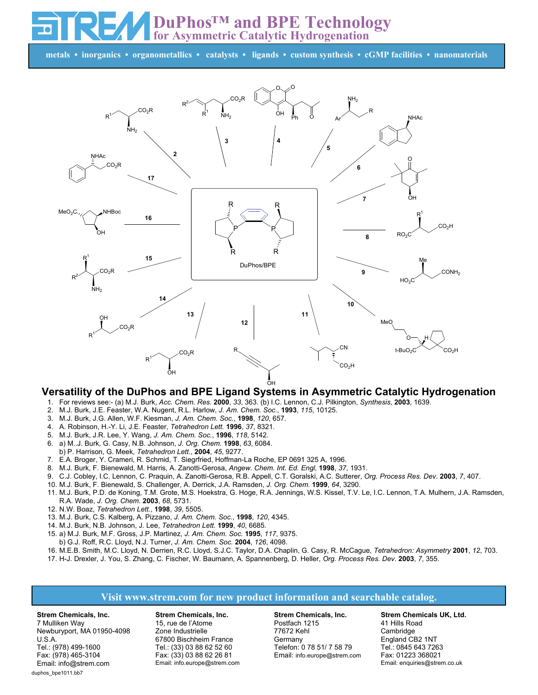**DuPhos™ and BPE Technology for Asymmetric Catalytic Hydrogenation**

**metals • inorganics • organometallics • catalysts • ligands • custom synthesis • cGMP facilities • nanomaterials**



## **Versatility of the DuPhos and BPE Ligand Systems in Asymmetric Catalytic Hydrogenation**

- 1. For reviews see:- (a) M.J. Burk, *Acc. Chem. Res.* **2000**, *33*, 363. (b) I.C. Lennon, C.J. Pilkington, *Synthesis*, **2003**, 1639.
- 2. M.J. Burk, J.E. Feaster, W.A. Nugent, R.L. Harlow, *J. Am. Chem. Soc.*, **1993**, *115*, 10125.
- 3. M.J. Burk, J.G. Allen, W.F. Kiesman, *J. Am. Chem. Soc.*, **1998**, *120*, 657.
- 4. A. Robinson, H.-Y. Li, J.E. Feaster, *Tetrahedron Lett.* **1996**, *37*, 8321.
- 5. M.J. Burk, J.R. Lee, Y. Wang, *J. Am. Chem. Soc.*, **1996**, *118*, 5142.
- 6. a) M..J. Burk, G. Casy, N.B. Johnson, *J. Org. Chem.* **1998**, *63*, 6084.
- b) P. Harrison, G. Meek, *Tetrahedron Lett.*, **2004**, *45*, 9277.
- 7. E.A. Broger, Y. Crameri, R. Schmid, T. Siegrfried, Hoffman-La Roche, EP 0691 325 A, 1996.
- 8. M.J. Burk, F. Bienewald, M. Harris, A. Zanotti-Gerosa, *Angew. Chem. Int. Ed. Engl,* **1998**, *37*, 1931.
- 9. C.J. Cobley, I.C. Lennon, C. Praquin, A. Zanotti-Gerosa, R.B. Appell, C.T. Goralski, A.C. Sutterer, *Org. Process Res. Dev.* **2003**, *7*, 407.
- 10. M.J. Burk, F. Bienewald, S. Challenger, A. Derrick, J.A. Ramsden, *J. Org. Chem.* **1999**, *64*, 3290.
- 11. M.J. Burk, P.D. de Koning, T.M. Grote, M.S. Hoekstra, G. Hoge, R.A. Jennings, W.S. Kissel, T.V. Le, I.C. Lennon, T.A. Mulhern, J.A. Ramsden, R.A. Wade, *J. Org. Chem.* **2003**, *68*, 5731.
- 12. N.W. Boaz, *Tetrahedron Lett.*, **1998**, *39*, 5505.
- 13. M.J. Burk, C.S. Kalberg, A. Pizzano, *J. Am. Chem. Soc.*, **1998**, *120*, 4345.
- 14. M.J. Burk, N.B. Johnson, J. Lee, *Tetrahedron Lett.* **1999**, *40*, 6685.
- 15. a) M.J. Burk, M.F. Gross, J.P. Martinez, *J. Am. Chem. Soc.* **1995**, *117*, 9375.
- b) G.J. Roff, R.C. Lloyd, N.J. Turner, *J. Am. Chem. Soc.* **2004**, *126*, 4098.
- 16. M.E.B. Smith, M.C. Lloyd, N. Derrien, R.C. Lloyd, S.J.C. Taylor, D.A. Chaplin, G. Casy, R. McCague, *Tetrahedron: Asymmetry* **2001**, *12*, 703.
- 17. H-J. Drexler, J. You, S. Zhang, C. Fischer, W. Baumann, A. Spannenberg, D. Heller, *Org. Process Res. Dev.* **2003**, *7*, 355.

## **Visit www.strem.com for new product information and searchable catalog.**

**Strem Chemicals, Inc.** 7 Mulliken Way Newburyport, MA 01950-4098 U.S.A. Tel.: (978) 499-1600 Fax: (978) 465-3104 Email: info@strem.com duphos\_bpe1011.bb7

**Strem Chemicals, Inc.** 15, rue de l'Atome Zone Industrielle 67800 Bischheim France Tel.: (33) 03 88 62 52 60 Fax: (33) 03 88 62 26 81 Email: info.europe@strem.com

**Strem Chemicals, Inc.** Postfach 1215 77672 Kehl **Germany** Telefon: 0 78 51/ 7 58 79 Email: info.europe@strem.com **Strem Chemicals UK, Ltd.** 41 Hills Road Cambridge England CB2 1NT Tel.: 0845 643 7263 Fax: 01223 368021 Email: enquiries@strem.co.uk